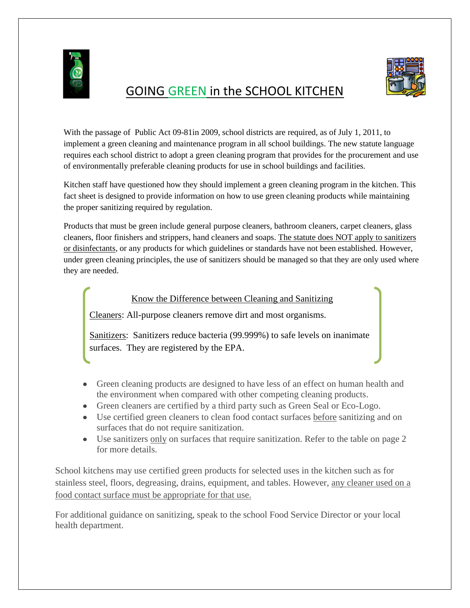

## GOING GREEN in the SCHOOL KITCHEN



With the passage of Public Act 09-81in 2009, school districts are required, as of July 1, 2011, to implement a green cleaning and maintenance program in all school buildings. The new statute language requires each school district to adopt a green cleaning program that provides for the procurement and use of environmentally preferable cleaning products for use in school buildings and facilities.

Kitchen staff have questioned how they should implement a green cleaning program in the kitchen. This fact sheet is designed to provide information on how to use green cleaning products while maintaining the proper sanitizing required by regulation.

Products that must be green include general purpose cleaners, bathroom cleaners, carpet cleaners, glass cleaners, floor finishers and strippers, hand cleaners and soaps. The statute does NOT apply to sanitizers or disinfectants, or any products for which guidelines or standards have not been established. However, under green cleaning principles, the use of sanitizers should be managed so that they are only used where they are needed.

## Know the Difference between Cleaning and Sanitizing

Cleaners: All-purpose cleaners remove dirt and most organisms.

Sanitizers: Sanitizers reduce bacteria (99.999%) to safe levels on inanimate surfaces. They are registered by the EPA.

- Green cleaning products are designed to have less of an effect on human health and the environment when compared with other competing cleaning products.
- Green cleaners are certified by a third party such as Green Seal or Eco-Logo.
- Use certified green cleaners to clean food contact surfaces before sanitizing and on surfaces that do not require sanitization.
- Use sanitizers only on surfaces that require sanitization. Refer to the table on page 2 for more details.

School kitchens may use certified green products for selected uses in the kitchen such as for stainless steel, floors, degreasing, drains, equipment, and tables. However, any cleaner used on a food contact surface must be appropriate for that use.

For additional guidance on sanitizing, speak to the school Food Service Director or your local health department.